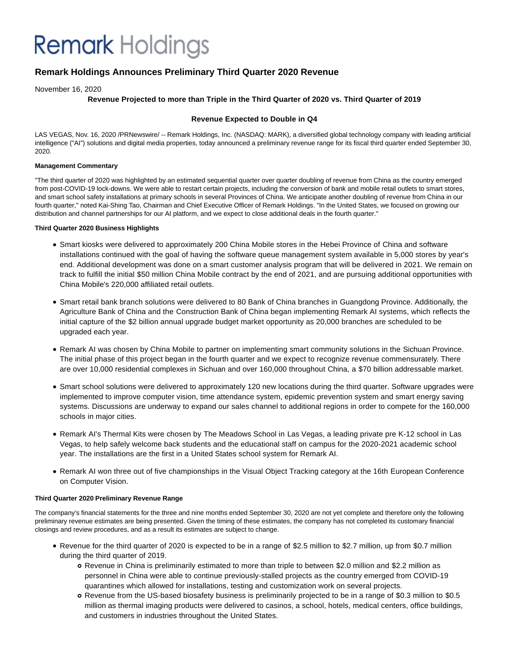# **Remark** Holdings

# **Remark Holdings Announces Preliminary Third Quarter 2020 Revenue**

November 16, 2020

# **Revenue Projected to more than Triple in the Third Quarter of 2020 vs. Third Quarter of 2019**

# **Revenue Expected to Double in Q4**

LAS VEGAS, Nov. 16, 2020 /PRNewswire/ -- Remark Holdings, Inc. (NASDAQ: MARK), a diversified global technology company with leading artificial intelligence ("AI") solutions and digital media properties, today announced a preliminary revenue range for its fiscal third quarter ended September 30, 2020.

### **Management Commentary**

"The third quarter of 2020 was highlighted by an estimated sequential quarter over quarter doubling of revenue from China as the country emerged from post-COVID-19 lock-downs. We were able to restart certain projects, including the conversion of bank and mobile retail outlets to smart stores, and smart school safety installations at primary schools in several Provinces of China. We anticipate another doubling of revenue from China in our fourth quarter," noted Kai-Shing Tao, Chairman and Chief Executive Officer of Remark Holdings. "In the United States, we focused on growing our distribution and channel partnerships for our AI platform, and we expect to close additional deals in the fourth quarter."

## **Third Quarter 2020 Business Highlights**

- Smart kiosks were delivered to approximately 200 China Mobile stores in the Hebei Province of China and software installations continued with the goal of having the software queue management system available in 5,000 stores by year's end. Additional development was done on a smart customer analysis program that will be delivered in 2021. We remain on track to fulfill the initial \$50 million China Mobile contract by the end of 2021, and are pursuing additional opportunities with China Mobile's 220,000 affiliated retail outlets.
- Smart retail bank branch solutions were delivered to 80 Bank of China branches in Guangdong Province. Additionally, the Agriculture Bank of China and the Construction Bank of China began implementing Remark AI systems, which reflects the initial capture of the \$2 billion annual upgrade budget market opportunity as 20,000 branches are scheduled to be upgraded each year.
- Remark AI was chosen by China Mobile to partner on implementing smart community solutions in the Sichuan Province. The initial phase of this project began in the fourth quarter and we expect to recognize revenue commensurately. There are over 10,000 residential complexes in Sichuan and over 160,000 throughout China, a \$70 billion addressable market.
- Smart school solutions were delivered to approximately 120 new locations during the third quarter. Software upgrades were implemented to improve computer vision, time attendance system, epidemic prevention system and smart energy saving systems. Discussions are underway to expand our sales channel to additional regions in order to compete for the 160,000 schools in major cities.
- Remark AI's Thermal Kits were chosen by The Meadows School in Las Vegas, a leading private pre K-12 school in Las Vegas, to help safely welcome back students and the educational staff on campus for the 2020-2021 academic school year. The installations are the first in a United States school system for Remark AI.
- Remark AI won three out of five championships in the Visual Object Tracking category at the 16th European Conference on Computer Vision.

# **Third Quarter 2020 Preliminary Revenue Range**

The company's financial statements for the three and nine months ended September 30, 2020 are not yet complete and therefore only the following preliminary revenue estimates are being presented. Given the timing of these estimates, the company has not completed its customary financial closings and review procedures, and as a result its estimates are subject to change.

- Revenue for the third quarter of 2020 is expected to be in a range of \$2.5 million to \$2.7 million, up from \$0.7 million during the third quarter of 2019.
	- Revenue in China is preliminarily estimated to more than triple to between \$2.0 million and \$2.2 million as personnel in China were able to continue previously-stalled projects as the country emerged from COVID-19 quarantines which allowed for installations, testing and customization work on several projects.
	- Revenue from the US-based biosafety business is preliminarily projected to be in a range of \$0.3 million to \$0.5 million as thermal imaging products were delivered to casinos, a school, hotels, medical centers, office buildings, and customers in industries throughout the United States.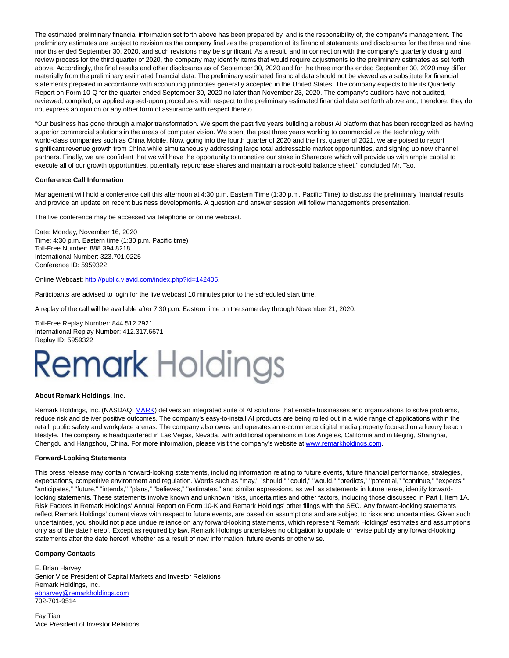The estimated preliminary financial information set forth above has been prepared by, and is the responsibility of, the company's management. The preliminary estimates are subject to revision as the company finalizes the preparation of its financial statements and disclosures for the three and nine months ended September 30, 2020, and such revisions may be significant. As a result, and in connection with the company's quarterly closing and review process for the third quarter of 2020, the company may identify items that would require adjustments to the preliminary estimates as set forth above. Accordingly, the final results and other disclosures as of September 30, 2020 and for the three months ended September 30, 2020 may differ materially from the preliminary estimated financial data. The preliminary estimated financial data should not be viewed as a substitute for financial statements prepared in accordance with accounting principles generally accepted in the United States. The company expects to file its Quarterly Report on Form 10-Q for the quarter ended September 30, 2020 no later than November 23, 2020. The company's auditors have not audited, reviewed, compiled, or applied agreed-upon procedures with respect to the preliminary estimated financial data set forth above and, therefore, they do not express an opinion or any other form of assurance with respect thereto.

"Our business has gone through a major transformation. We spent the past five years building a robust AI platform that has been recognized as having superior commercial solutions in the areas of computer vision. We spent the past three years working to commercialize the technology with world-class companies such as China Mobile. Now, going into the fourth quarter of 2020 and the first quarter of 2021, we are poised to report significant revenue growth from China while simultaneously addressing large total addressable market opportunities, and signing up new channel partners. Finally, we are confident that we will have the opportunity to monetize our stake in Sharecare which will provide us with ample capital to execute all of our growth opportunities, potentially repurchase shares and maintain a rock-solid balance sheet," concluded Mr. Tao.

#### **Conference Call Information**

Management will hold a conference call this afternoon at 4:30 p.m. Eastern Time (1:30 p.m. Pacific Time) to discuss the preliminary financial results and provide an update on recent business developments. A question and answer session will follow management's presentation.

The live conference may be accessed via telephone or online webcast.

Date: Monday, November 16, 2020 Time: 4:30 p.m. Eastern time (1:30 p.m. Pacific time) Toll-Free Number: 888.394.8218 International Number: 323.701.0225 Conference ID: 5959322

Online Webcast[: http://public.viavid.com/index.php?id=142405.](https://c212.net/c/link/?t=0&l=en&o=2983593-1&h=3197042836&u=http%3A%2F%2Fpublic.viavid.com%2Findex.php%3Fid%3D142405&a=http%3A%2F%2Fpublic.viavid.com%2Findex.php%3Fid%3D142405) 

Participants are advised to login for the live webcast 10 minutes prior to the scheduled start time.

A replay of the call will be available after 7:30 p.m. Eastern time on the same day through November 21, 2020.

Toll-Free Replay Number: 844.512.2921 International Replay Number: 412.317.6671 Replay ID: 5959322

# **Remark Holdings**

#### **About Remark Holdings, Inc.**

Remark Holdings, Inc. (NASDAQ: [MARK\)](https://c212.net/c/link/?t=0&l=en&o=2983593-1&h=1766341674&u=http%3A%2F%2Fwww.remarkholdings.com%2F&a=MARK) delivers an integrated suite of AI solutions that enable businesses and organizations to solve problems, reduce risk and deliver positive outcomes. The company's easy-to-install AI products are being rolled out in a wide range of applications within the retail, public safety and workplace arenas. The company also owns and operates an e-commerce digital media property focused on a luxury beach lifestyle. The company is headquartered in Las Vegas, Nevada, with additional operations in Los Angeles, California and in Beijing, Shanghai, Chengdu and Hangzhou, China. For more information, please visit the company's website at [www.remarkholdings.com.](https://c212.net/c/link/?t=0&l=en&o=2983593-1&h=3847628944&u=http%3A%2F%2Fwww.remarkholdings.com%2F&a=www.remarkholdings.com)

#### **Forward-Looking Statements**

This press release may contain forward-looking statements, including information relating to future events, future financial performance, strategies, expectations, competitive environment and regulation. Words such as "may," "should," "could," "would," "predicts," "potential," "continue," "expects," "anticipates," "future," "intends," "plans," "believes," "estimates," and similar expressions, as well as statements in future tense, identify forwardlooking statements. These statements involve known and unknown risks, uncertainties and other factors, including those discussed in Part I, Item 1A. Risk Factors in Remark Holdings' Annual Report on Form 10-K and Remark Holdings' other filings with the SEC. Any forward-looking statements reflect Remark Holdings' current views with respect to future events, are based on assumptions and are subject to risks and uncertainties. Given such uncertainties, you should not place undue reliance on any forward-looking statements, which represent Remark Holdings' estimates and assumptions only as of the date hereof. Except as required by law, Remark Holdings undertakes no obligation to update or revise publicly any forward-looking statements after the date hereof, whether as a result of new information, future events or otherwise.

#### **Company Contacts**

E. Brian Harvey Senior Vice President of Capital Markets and Investor Relations Remark Holdings, Inc. [ebharvey@remarkholdings.com](mailto:ebharvey@remarkholdings.com) 702-701-9514

Fay Tian Vice President of Investor Relations